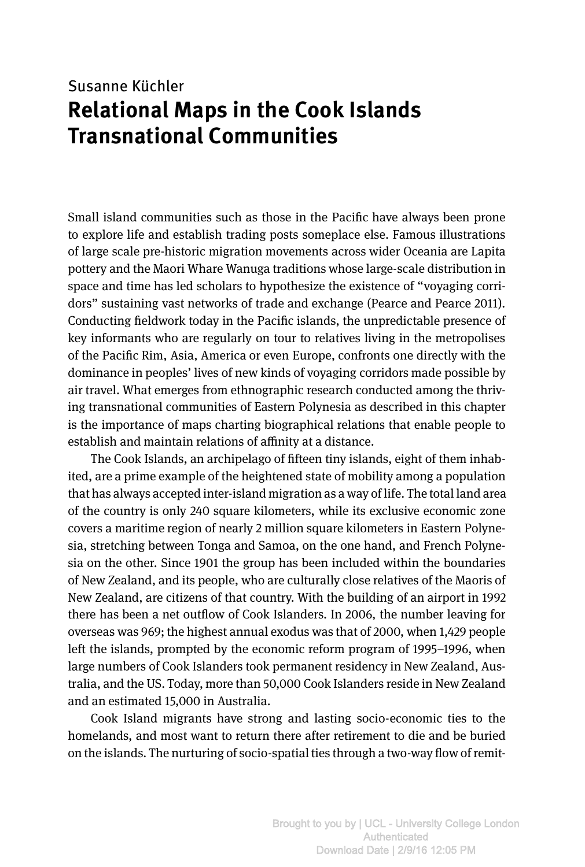# Susanne Küchler **Relational Maps in the Cook Islands Transnational Communities**

Small island communities such as those in the Pacific have always been prone to explore life and establish trading posts someplace else. Famous illustrations of large scale pre-historic migration movements across wider Oceania are Lapita pottery and the Maori Whare Wanuga traditions whose large-scale distribution in space and time has led scholars to hypothesize the existence of "voyaging corridors" sustaining vast networks of trade and exchange (Pearce and Pearce 2011). Conducting fieldwork today in the Pacific islands, the unpredictable presence of key informants who are regularly on tour to relatives living in the metropolises of the Pacific Rim, Asia, America or even Europe, confronts one directly with the dominance in peoples' lives of new kinds of voyaging corridors made possible by air travel. What emerges from ethnographic research conducted among the thriving transnational communities of Eastern Polynesia as described in this chapter is the importance of maps charting biographical relations that enable people to establish and maintain relations of affinity at a distance.

The Cook Islands, an archipelago of fifteen tiny islands, eight of them inhabited, are a prime example of the heightened state of mobility among a population that has always accepted inter-island migration as a way of life. The total land area of the country is only 240 square kilometers, while its exclusive economic zone covers a maritime region of nearly 2 million square kilometers in Eastern Polynesia, stretching between Tonga and Samoa, on the one hand, and French Polynesia on the other. Since 1901 the group has been included within the boundaries of New Zealand, and its people, who are culturally close relatives of the Maoris of New Zealand, are citizens of that country. With the building of an airport in 1992 there has been a net outflow of Cook Islanders. In 2006, the number leaving for overseas was 969; the highest annual exodus was that of 2000, when 1,429 people left the islands, prompted by the economic reform program of 1995–1996, when large numbers of Cook Islanders took permanent residency in New Zealand, Australia, and the US. Today, more than 50,000 Cook Islanders reside in New Zealand and an estimated 15,000 in Australia.

Cook Island migrants have strong and lasting socio-economic ties to the homelands, and most want to return there after retirement to die and be buried on the islands. The nurturing of socio-spatial ties through a two-way flow of remit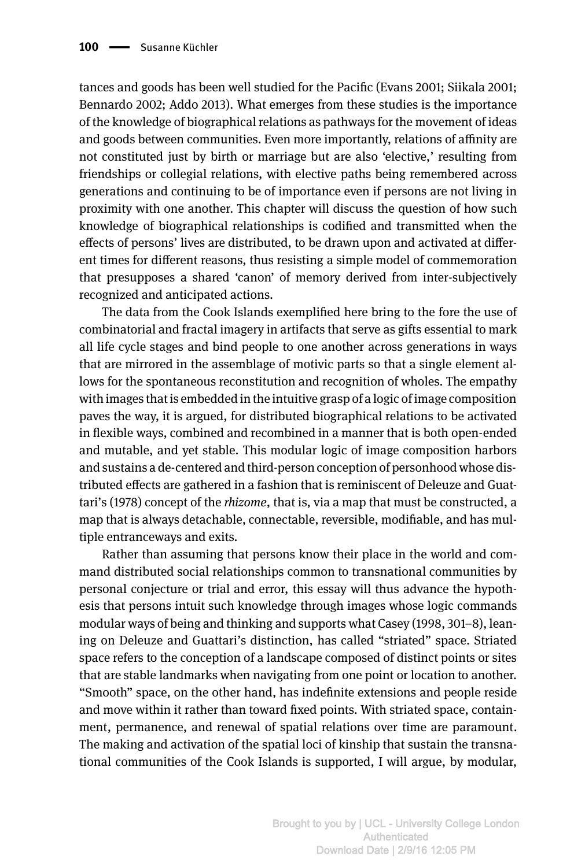tances and goods has been well studied for the Pacific (Evans 2001; Siikala 2001; Bennardo 2002; Addo 2013). What emerges from these studies is the importance of the knowledge of biographical relations as pathways for the movement of ideas and goods between communities. Even more importantly, relations of affinity are not constituted just by birth or marriage but are also 'elective,' resulting from friendships or collegial relations, with elective paths being remembered across generations and continuing to be of importance even if persons are not living in proximity with one another. This chapter will discuss the question of how such knowledge of biographical relationships is codified and transmitted when the effects of persons' lives are distributed, to be drawn upon and activated at different times for different reasons, thus resisting a simple model of commemoration that presupposes a shared 'canon' of memory derived from inter-subjectively recognized and anticipated actions.

The data from the Cook Islands exemplified here bring to the fore the use of combinatorial and fractal imagery in artifacts that serve as gifts essential to mark all life cycle stages and bind people to one another across generations in ways that are mirrored in the assemblage of motivic parts so that a single element allows for the spontaneous reconstitution and recognition of wholes. The empathy with images that is embedded in the intuitive grasp of a logic of image composition paves the way, it is argued, for distributed biographical relations to be activated in flexible ways, combined and recombined in a manner that is both open-ended and mutable, and yet stable. This modular logic of image composition harbors and sustains a de-centered and third-person conception of personhood whose distributed effects are gathered in a fashion that is reminiscent of Deleuze and Guattari's (1978) concept of the *rhizome*, that is, via a map that must be constructed, a map that is always detachable, connectable, reversible, modifiable, and has multiple entranceways and exits.

Rather than assuming that persons know their place in the world and command distributed social relationships common to transnational communities by personal conjecture or trial and error, this essay will thus advance the hypothesis that persons intuit such knowledge through images whose logic commands modular ways of being and thinking and supports what Casey (1998, 301–8), leaning on Deleuze and Guattari's distinction, has called "striated" space. Striated space refers to the conception of a landscape composed of distinct points or sites that are stable landmarks when navigating from one point or location to another. "Smooth" space, on the other hand, has indefinite extensions and people reside and move within it rather than toward fixed points. With striated space, containment, permanence, and renewal of spatial relations over time are paramount. The making and activation of the spatial loci of kinship that sustain the transnational communities of the Cook Islands is supported, I will argue, by modular,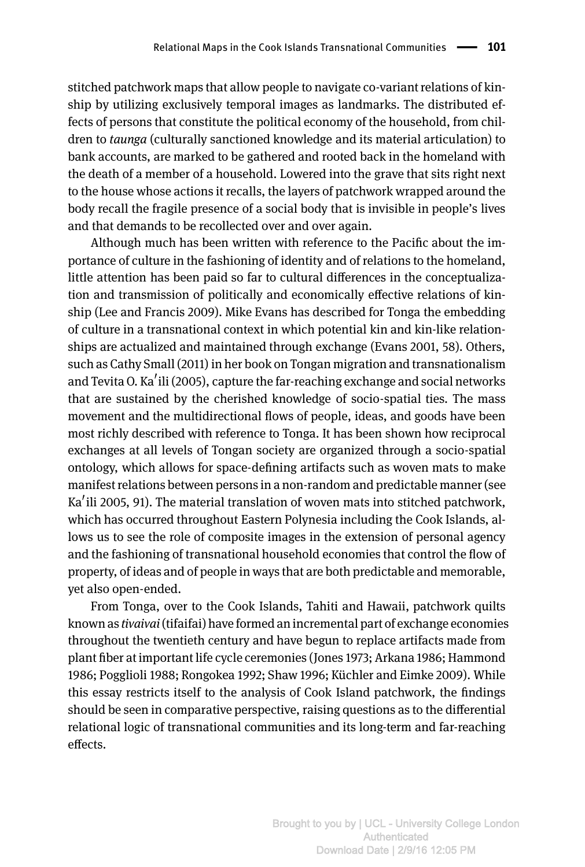stitched patchwork maps that allow people to navigate co-variant relations of kinship by utilizing exclusively temporal images as landmarks. The distributed effects of persons that constitute the political economy of the household, from children to *taunga* (culturally sanctioned knowledge and its material articulation) to bank accounts, are marked to be gathered and rooted back in the homeland with the death of a member of a household. Lowered into the grave that sits right next to the house whose actions it recalls, the layers of patchwork wrapped around the body recall the fragile presence of a social body that is invisible in people's lives and that demands to be recollected over and over again.

Although much has been written with reference to the Pacific about the importance of culture in the fashioning of identity and of relations to the homeland, little attention has been paid so far to cultural differences in the conceptualization and transmission of politically and economically effective relations of kinship (Lee and Francis 2009). Mike Evans has described for Tonga the embedding of culture in a transnational context in which potential kin and kin-like relationships are actualized and maintained through exchange (Evans 2001, 58). Others, such as Cathy Small (2011) in her book on Tongan migration and transnationalism and Tevita O. Ka'ili (2005), capture the far-reaching exchange and social networks that are sustained by the cherished knowledge of socio-spatial ties. The mass movement and the multidirectional flows of people, ideas, and goods have been most richly described with reference to Tonga. It has been shown how reciprocal exchanges at all levels of Tongan society are organized through a socio-spatial ontology, which allows for space-defining artifacts such as woven mats to make manifest relations between persons in a non-random and predictable manner (see Ka ili 2005, 91). The material translation of woven mats into stitched patchwork, which has occurred throughout Eastern Polynesia including the Cook Islands, allows us to see the role of composite images in the extension of personal agency and the fashioning of transnational household economies that control the flow of property, of ideas and of people in ways that are both predictable and memorable, yet also open-ended.

From Tonga, over to the Cook Islands, Tahiti and Hawaii, patchwork quilts known as *tivaivai*(tifaifai) have formed an incremental part of exchange economies throughout the twentieth century and have begun to replace artifacts made from plant fiber at important life cycle ceremonies (Jones 1973; Arkana 1986; Hammond 1986; Pogglioli 1988; Rongokea 1992; Shaw 1996; Küchler and Eimke 2009). While this essay restricts itself to the analysis of Cook Island patchwork, the findings should be seen in comparative perspective, raising questions as to the differential relational logic of transnational communities and its long-term and far-reaching effects.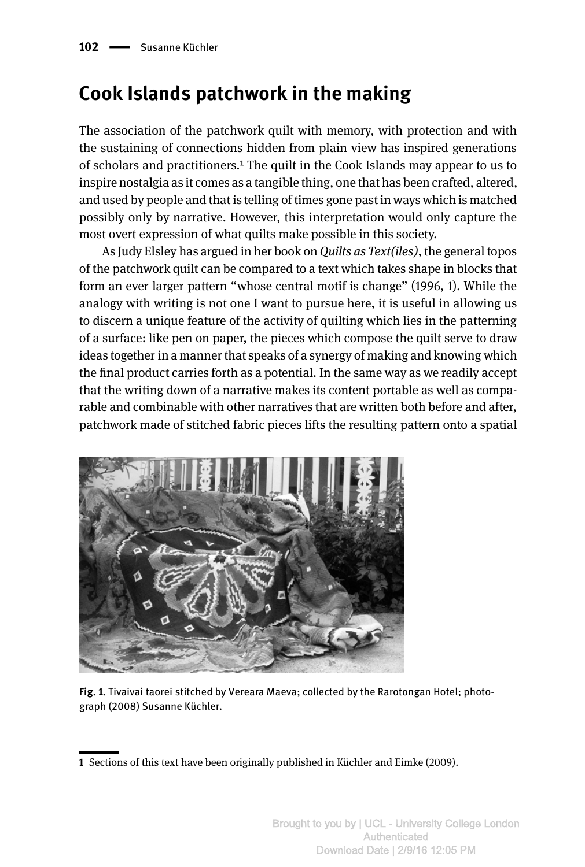### **Cook Islands patchwork in the making**

The association of the patchwork quilt with memory, with protection and with the sustaining of connections hidden from plain view has inspired generations of scholars and practitioners.<sup>1</sup> The quilt in the Cook Islands may appear to us to inspire nostalgia as it comes as a tangible thing, one that has been crafted, altered, and used by people and that is telling of times gone past in ways which is matched possibly only by narrative. However, this interpretation would only capture the most overt expression of what quilts make possible in this society.

As Judy Elsley has argued in her book on *Quilts as Text(iles)*, the general topos of the patchwork quilt can be compared to a text which takes shape in blocks that form an ever larger pattern "whose central motif is change" (1996, 1). While the analogy with writing is not one I want to pursue here, it is useful in allowing us to discern a unique feature of the activity of quilting which lies in the patterning of a surface: like pen on paper, the pieces which compose the quilt serve to draw ideas together in a manner that speaks of a synergy of making and knowing which the final product carries forth as a potential. In the same way as we readily accept that the writing down of a narrative makes its content portable as well as comparable and combinable with other narratives that are written both before and after, patchwork made of stitched fabric pieces lifts the resulting pattern onto a spatial



**Fig. 1.** Tivaivai taorei stitched by Vereara Maeva; collected by the Rarotongan Hotel; photograph (2008) Susanne Küchler.

**<sup>1</sup>** Sections of this text have been originally published in Küchler and Eimke (2009).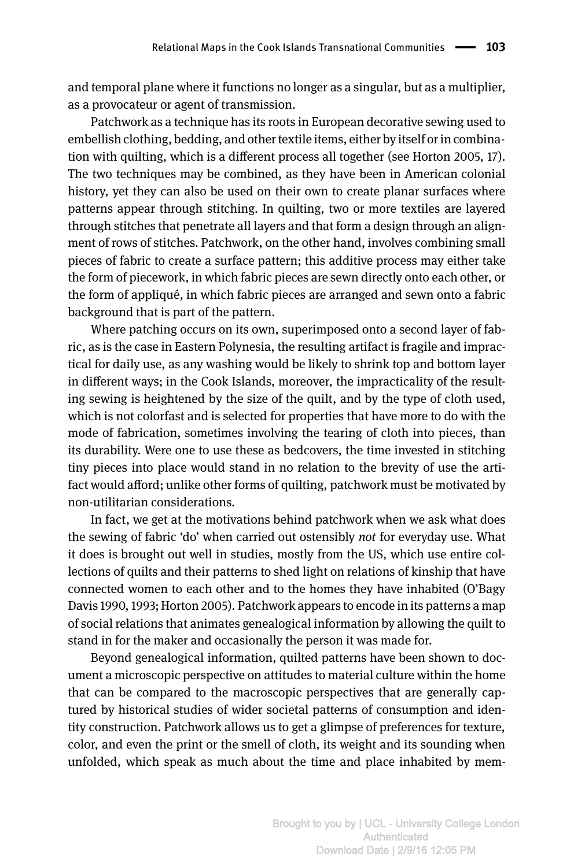and temporal plane where it functions no longer as a singular, but as a multiplier, as a provocateur or agent of transmission.

Patchwork as a technique has its roots in European decorative sewing used to embellish clothing, bedding, and other textile items, either by itself or in combination with quilting, which is a different process all together (see Horton 2005, 17). The two techniques may be combined, as they have been in American colonial history, yet they can also be used on their own to create planar surfaces where patterns appear through stitching. In quilting, two or more textiles are layered through stitches that penetrate all layers and that form a design through an alignment of rows of stitches. Patchwork, on the other hand, involves combining small pieces of fabric to create a surface pattern; this additive process may either take the form of piecework, in which fabric pieces are sewn directly onto each other, or the form of appliqué, in which fabric pieces are arranged and sewn onto a fabric background that is part of the pattern.

Where patching occurs on its own, superimposed onto a second layer of fabric, as is the case in Eastern Polynesia, the resulting artifact is fragile and impractical for daily use, as any washing would be likely to shrink top and bottom layer in different ways; in the Cook Islands, moreover, the impracticality of the resulting sewing is heightened by the size of the quilt, and by the type of cloth used, which is not colorfast and is selected for properties that have more to do with the mode of fabrication, sometimes involving the tearing of cloth into pieces, than its durability. Were one to use these as bedcovers, the time invested in stitching tiny pieces into place would stand in no relation to the brevity of use the artifact would afford; unlike other forms of quilting, patchwork must be motivated by non-utilitarian considerations.

In fact, we get at the motivations behind patchwork when we ask what does the sewing of fabric 'do' when carried out ostensibly *not* for everyday use. What it does is brought out well in studies, mostly from the US, which use entire collections of quilts and their patterns to shed light on relations of kinship that have connected women to each other and to the homes they have inhabited (O'Bagy Davis 1990, 1993; Horton 2005). Patchwork appears to encode in its patterns a map of social relations that animates genealogical information by allowing the quilt to stand in for the maker and occasionally the person it was made for.

Beyond genealogical information, quilted patterns have been shown to document a microscopic perspective on attitudes to material culture within the home that can be compared to the macroscopic perspectives that are generally captured by historical studies of wider societal patterns of consumption and identity construction. Patchwork allows us to get a glimpse of preferences for texture, color, and even the print or the smell of cloth, its weight and its sounding when unfolded, which speak as much about the time and place inhabited by mem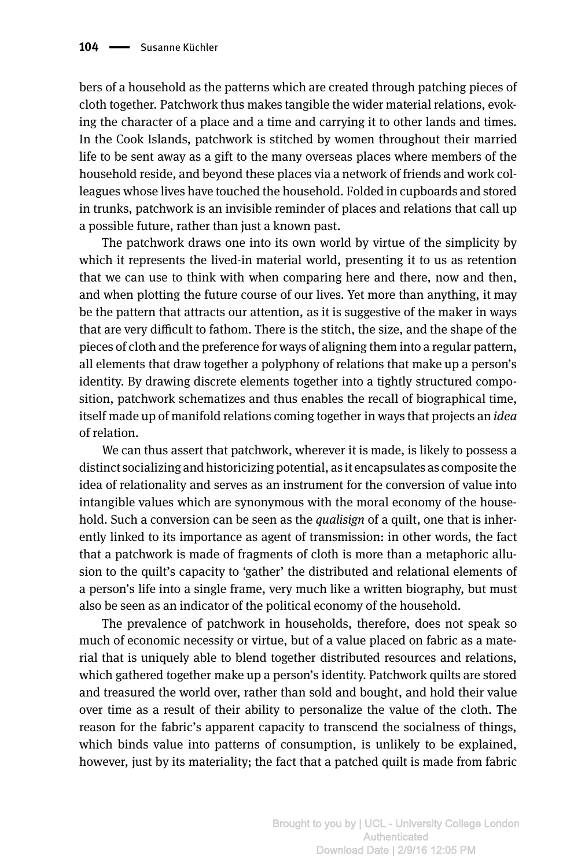bers of a household as the patterns which are created through patching pieces of cloth together. Patchwork thus makes tangible the wider material relations, evoking the character of a place and a time and carrying it to other lands and times. In the Cook Islands, patchwork is stitched by women throughout their married life to be sent away as a gift to the many overseas places where members of the household reside, and beyond these places via a network of friends and work colleagues whose lives have touched the household. Folded in cupboards and stored in trunks, patchwork is an invisible reminder of places and relations that call up a possible future, rather than just a known past.

The patchwork draws one into its own world by virtue of the simplicity by which it represents the lived-in material world, presenting it to us as retention that we can use to think with when comparing here and there, now and then, and when plotting the future course of our lives. Yet more than anything, it may be the pattern that attracts our attention, as it is suggestive of the maker in ways that are very difficult to fathom. There is the stitch, the size, and the shape of the pieces of cloth and the preference for ways of aligning them into a regular pattern, all elements that draw together a polyphony of relations that make up a person's identity. By drawing discrete elements together into a tightly structured composition, patchwork schematizes and thus enables the recall of biographical time, itself made up of manifold relations coming together in ways that projects an *idea* of relation.

We can thus assert that patchwork, wherever it is made, is likely to possess a distinct socializing and historicizing potential, as it encapsulates as composite the idea of relationality and serves as an instrument for the conversion of value into intangible values which are synonymous with the moral economy of the household. Such a conversion can be seen as the *qualisign* of a quilt, one that is inherently linked to its importance as agent of transmission: in other words, the fact that a patchwork is made of fragments of cloth is more than a metaphoric allusion to the quilt's capacity to 'gather' the distributed and relational elements of a person's life into a single frame, very much like a written biography, but must also be seen as an indicator of the political economy of the household.

The prevalence of patchwork in households, therefore, does not speak so much of economic necessity or virtue, but of a value placed on fabric as a material that is uniquely able to blend together distributed resources and relations, which gathered together make up a person's identity. Patchwork quilts are stored and treasured the world over, rather than sold and bought, and hold their value over time as a result of their ability to personalize the value of the cloth. The reason for the fabric's apparent capacity to transcend the socialness of things, which binds value into patterns of consumption, is unlikely to be explained, however, just by its materiality; the fact that a patched quilt is made from fabric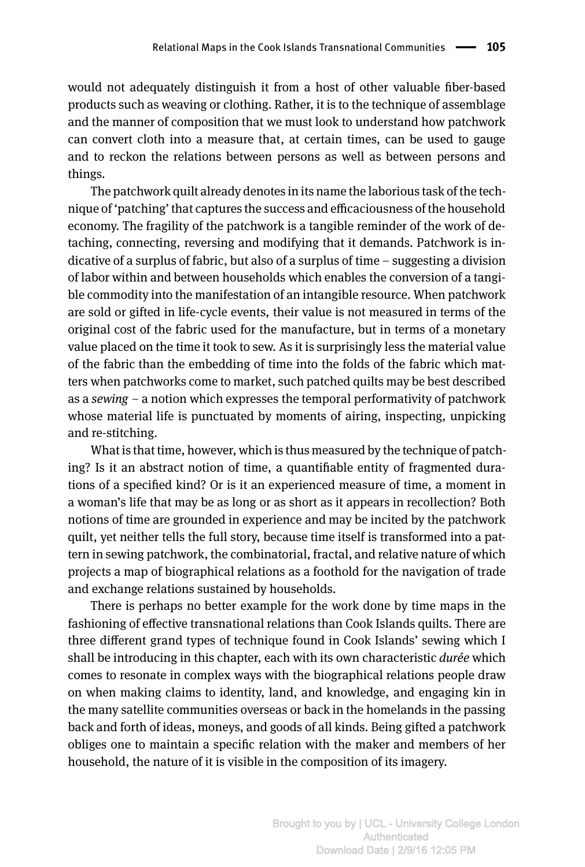would not adequately distinguish it from a host of other valuable fiber-based products such as weaving or clothing. Rather, it is to the technique of assemblage and the manner of composition that we must look to understand how patchwork can convert cloth into a measure that, at certain times, can be used to gauge and to reckon the relations between persons as well as between persons and things.

The patchwork quilt already denotes in its name the laborious task of the technique of 'patching' that captures the success and efficaciousness of the household economy. The fragility of the patchwork is a tangible reminder of the work of detaching, connecting, reversing and modifying that it demands. Patchwork is indicative of a surplus of fabric, but also of a surplus of time – suggesting a division of labor within and between households which enables the conversion of a tangible commodity into the manifestation of an intangible resource. When patchwork are sold or gifted in life-cycle events, their value is not measured in terms of the original cost of the fabric used for the manufacture, but in terms of a monetary value placed on the time it took to sew. As it is surprisingly less the material value of the fabric than the embedding of time into the folds of the fabric which matters when patchworks come to market, such patched quilts may be best described as a *sewing* – a notion which expresses the temporal performativity of patchwork whose material life is punctuated by moments of airing, inspecting, unpicking and re-stitching.

What is that time, however, which is thus measured by the technique of patching? Is it an abstract notion of time, a quantifiable entity of fragmented durations of a specified kind? Or is it an experienced measure of time, a moment in a woman's life that may be as long or as short as it appears in recollection? Both notions of time are grounded in experience and may be incited by the patchwork quilt, yet neither tells the full story, because time itself is transformed into a pattern in sewing patchwork, the combinatorial, fractal, and relative nature of which projects a map of biographical relations as a foothold for the navigation of trade and exchange relations sustained by households.

There is perhaps no better example for the work done by time maps in the fashioning of effective transnational relations than Cook Islands quilts. There are three different grand types of technique found in Cook Islands' sewing which I shall be introducing in this chapter, each with its own characteristic *durée* which comes to resonate in complex ways with the biographical relations people draw on when making claims to identity, land, and knowledge, and engaging kin in the many satellite communities overseas or back in the homelands in the passing back and forth of ideas, moneys, and goods of all kinds. Being gifted a patchwork obliges one to maintain a specific relation with the maker and members of her household, the nature of it is visible in the composition of its imagery.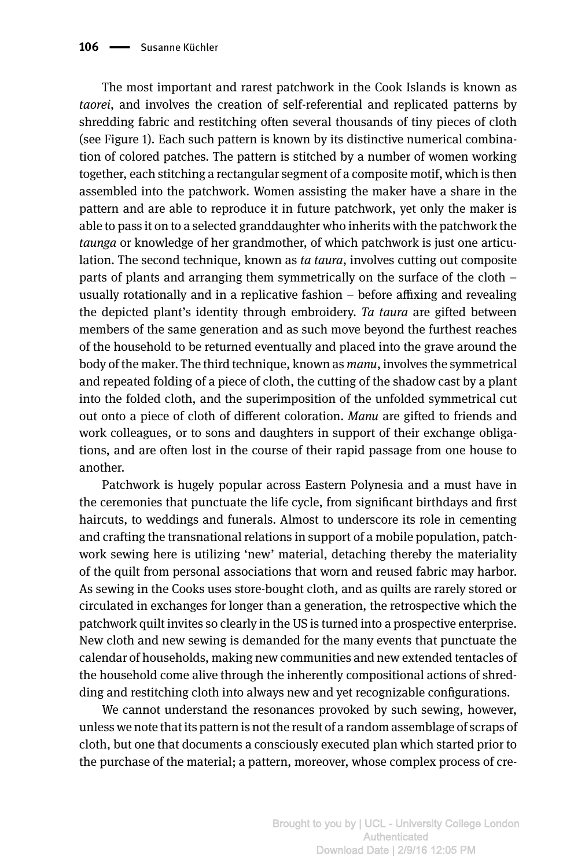The most important and rarest patchwork in the Cook Islands is known as *taorei*, and involves the creation of self-referential and replicated patterns by shredding fabric and restitching often several thousands of tiny pieces of cloth (see Figure 1). Each such pattern is known by its distinctive numerical combination of colored patches. The pattern is stitched by a number of women working together, each stitching a rectangular segment of a composite motif, which is then assembled into the patchwork. Women assisting the maker have a share in the pattern and are able to reproduce it in future patchwork, yet only the maker is able to pass it on to a selected granddaughter who inherits with the patchwork the *taunga* or knowledge of her grandmother, of which patchwork is just one articulation. The second technique, known as *ta taura*, involves cutting out composite parts of plants and arranging them symmetrically on the surface of the cloth – usually rotationally and in a replicative fashion – before affixing and revealing the depicted plant's identity through embroidery. *Ta taura* are gifted between members of the same generation and as such move beyond the furthest reaches of the household to be returned eventually and placed into the grave around the body of the maker. The third technique, known as *manu*, involves the symmetrical and repeated folding of a piece of cloth, the cutting of the shadow cast by a plant into the folded cloth, and the superimposition of the unfolded symmetrical cut out onto a piece of cloth of different coloration. *Manu* are gifted to friends and work colleagues, or to sons and daughters in support of their exchange obligations, and are often lost in the course of their rapid passage from one house to another.

Patchwork is hugely popular across Eastern Polynesia and a must have in the ceremonies that punctuate the life cycle, from significant birthdays and first haircuts, to weddings and funerals. Almost to underscore its role in cementing and crafting the transnational relations in support of a mobile population, patchwork sewing here is utilizing 'new' material, detaching thereby the materiality of the quilt from personal associations that worn and reused fabric may harbor. As sewing in the Cooks uses store-bought cloth, and as quilts are rarely stored or circulated in exchanges for longer than a generation, the retrospective which the patchwork quilt invites so clearly in the US is turned into a prospective enterprise. New cloth and new sewing is demanded for the many events that punctuate the calendar of households, making new communities and new extended tentacles of the household come alive through the inherently compositional actions of shredding and restitching cloth into always new and yet recognizable configurations.

We cannot understand the resonances provoked by such sewing, however, unless we note that its pattern is not the result of a random assemblage of scraps of cloth, but one that documents a consciously executed plan which started prior to the purchase of the material; a pattern, moreover, whose complex process of cre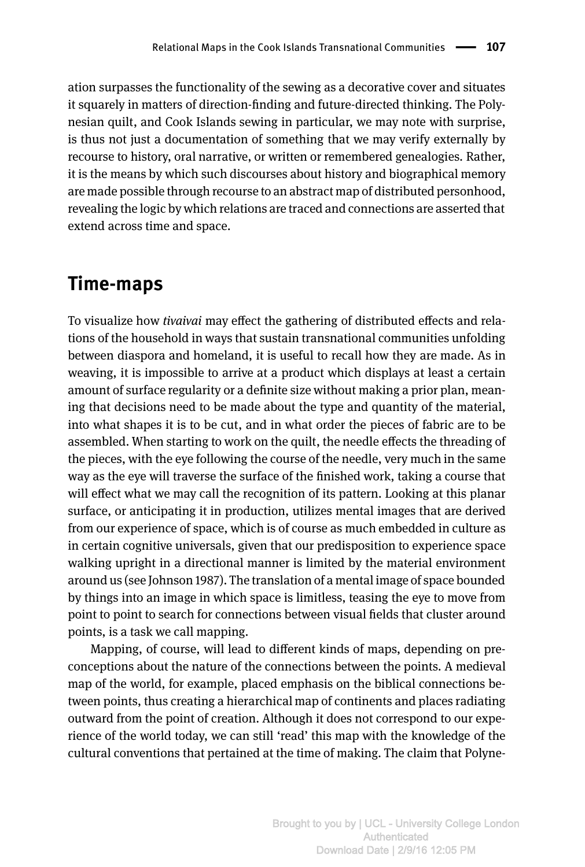ation surpasses the functionality of the sewing as a decorative cover and situates it squarely in matters of direction-finding and future-directed thinking. The Polynesian quilt, and Cook Islands sewing in particular, we may note with surprise, is thus not just a documentation of something that we may verify externally by recourse to history, oral narrative, or written or remembered genealogies. Rather, it is the means by which such discourses about history and biographical memory are made possible through recourse to an abstract map of distributed personhood, revealing the logic by which relations are traced and connections are asserted that extend across time and space.

### **Time-maps**

To visualize how *tivaivai* may effect the gathering of distributed effects and relations of the household in ways that sustain transnational communities unfolding between diaspora and homeland, it is useful to recall how they are made. As in weaving, it is impossible to arrive at a product which displays at least a certain amount of surface regularity or a definite size without making a prior plan, meaning that decisions need to be made about the type and quantity of the material, into what shapes it is to be cut, and in what order the pieces of fabric are to be assembled. When starting to work on the quilt, the needle effects the threading of the pieces, with the eye following the course of the needle, very much in the same way as the eye will traverse the surface of the finished work, taking a course that will effect what we may call the recognition of its pattern. Looking at this planar surface, or anticipating it in production, utilizes mental images that are derived from our experience of space, which is of course as much embedded in culture as in certain cognitive universals, given that our predisposition to experience space walking upright in a directional manner is limited by the material environment around us (see Johnson 1987). The translation of a mental image of space bounded by things into an image in which space is limitless, teasing the eye to move from point to point to search for connections between visual fields that cluster around points, is a task we call mapping.

Mapping, of course, will lead to different kinds of maps, depending on preconceptions about the nature of the connections between the points. A medieval map of the world, for example, placed emphasis on the biblical connections between points, thus creating a hierarchical map of continents and places radiating outward from the point of creation. Although it does not correspond to our experience of the world today, we can still 'read' this map with the knowledge of the cultural conventions that pertained at the time of making. The claim that Polyne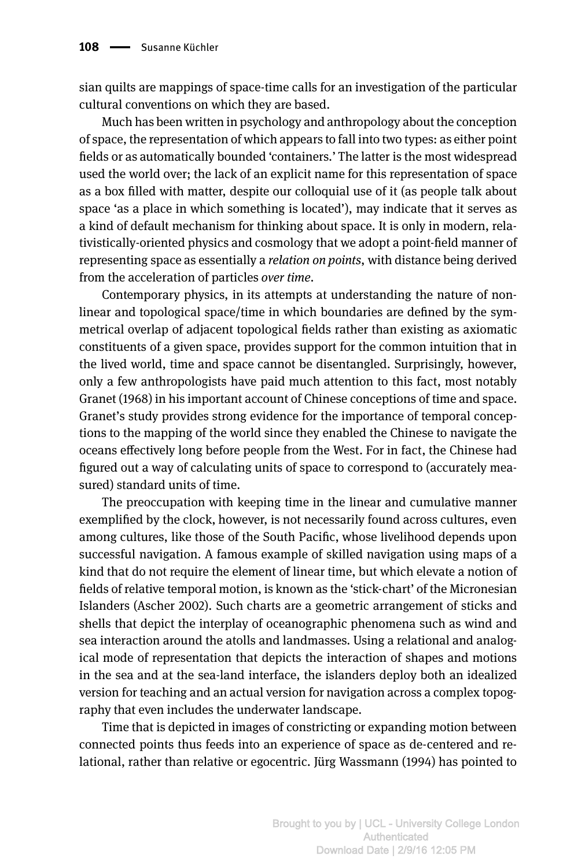sian quilts are mappings of space-time calls for an investigation of the particular cultural conventions on which they are based.

Much has been written in psychology and anthropology about the conception of space, the representation of which appears to fall into two types: as either point fields or as automatically bounded 'containers.' The latter is the most widespread used the world over; the lack of an explicit name for this representation of space as a box filled with matter, despite our colloquial use of it (as people talk about space 'as a place in which something is located'), may indicate that it serves as a kind of default mechanism for thinking about space. It is only in modern, relativistically-oriented physics and cosmology that we adopt a point-field manner of representing space as essentially a *relation on points*, with distance being derived from the acceleration of particles *over time*.

Contemporary physics, in its attempts at understanding the nature of nonlinear and topological space/time in which boundaries are defined by the symmetrical overlap of adjacent topological fields rather than existing as axiomatic constituents of a given space, provides support for the common intuition that in the lived world, time and space cannot be disentangled. Surprisingly, however, only a few anthropologists have paid much attention to this fact, most notably Granet (1968) in his important account of Chinese conceptions of time and space. Granet's study provides strong evidence for the importance of temporal conceptions to the mapping of the world since they enabled the Chinese to navigate the oceans effectively long before people from the West. For in fact, the Chinese had figured out a way of calculating units of space to correspond to (accurately measured) standard units of time.

The preoccupation with keeping time in the linear and cumulative manner exemplified by the clock, however, is not necessarily found across cultures, even among cultures, like those of the South Pacific, whose livelihood depends upon successful navigation. A famous example of skilled navigation using maps of a kind that do not require the element of linear time, but which elevate a notion of fields of relative temporal motion, is known as the 'stick-chart' of the Micronesian Islanders (Ascher 2002). Such charts are a geometric arrangement of sticks and shells that depict the interplay of oceanographic phenomena such as wind and sea interaction around the atolls and landmasses. Using a relational and analogical mode of representation that depicts the interaction of shapes and motions in the sea and at the sea-land interface, the islanders deploy both an idealized version for teaching and an actual version for navigation across a complex topography that even includes the underwater landscape.

Time that is depicted in images of constricting or expanding motion between connected points thus feeds into an experience of space as de-centered and relational, rather than relative or egocentric. Jürg Wassmann (1994) has pointed to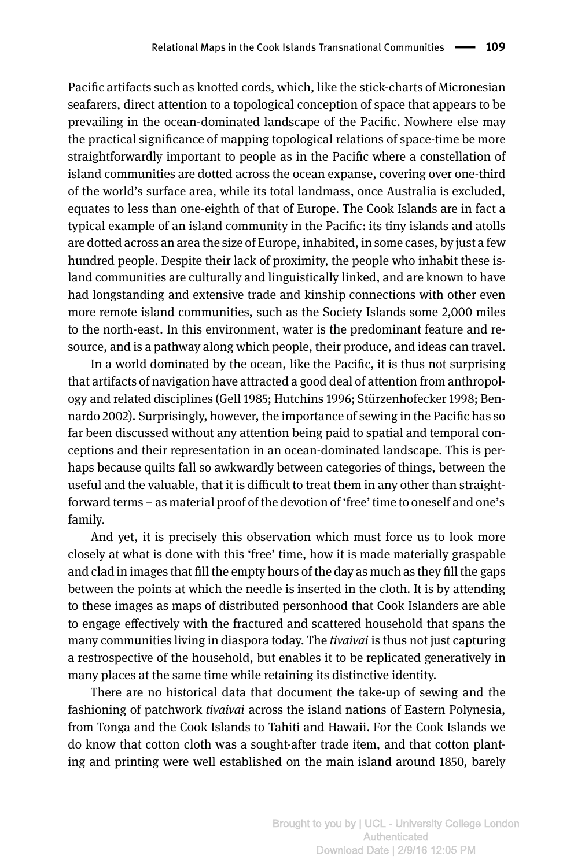Pacific artifacts such as knotted cords, which, like the stick-charts of Micronesian seafarers, direct attention to a topological conception of space that appears to be prevailing in the ocean-dominated landscape of the Pacific. Nowhere else may the practical significance of mapping topological relations of space-time be more straightforwardly important to people as in the Pacific where a constellation of island communities are dotted across the ocean expanse, covering over one-third of the world's surface area, while its total landmass, once Australia is excluded, equates to less than one-eighth of that of Europe. The Cook Islands are in fact a typical example of an island community in the Pacific: its tiny islands and atolls are dotted across an area the size of Europe, inhabited, in some cases, by just a few hundred people. Despite their lack of proximity, the people who inhabit these island communities are culturally and linguistically linked, and are known to have had longstanding and extensive trade and kinship connections with other even more remote island communities, such as the Society Islands some 2,000 miles to the north-east. In this environment, water is the predominant feature and resource, and is a pathway along which people, their produce, and ideas can travel.

In a world dominated by the ocean, like the Pacific, it is thus not surprising that artifacts of navigation have attracted a good deal of attention from anthropology and related disciplines (Gell 1985; Hutchins 1996; Stürzenhofecker 1998; Bennardo 2002). Surprisingly, however, the importance of sewing in the Pacific has so far been discussed without any attention being paid to spatial and temporal conceptions and their representation in an ocean-dominated landscape. This is perhaps because quilts fall so awkwardly between categories of things, between the useful and the valuable, that it is difficult to treat them in any other than straightforward terms – as material proof of the devotion of 'free' time to oneself and one's family.

And yet, it is precisely this observation which must force us to look more closely at what is done with this 'free' time, how it is made materially graspable and clad in images that fill the empty hours of the day as much as they fill the gaps between the points at which the needle is inserted in the cloth. It is by attending to these images as maps of distributed personhood that Cook Islanders are able to engage effectively with the fractured and scattered household that spans the many communities living in diaspora today. The *tivaivai* is thus not just capturing a restrospective of the household, but enables it to be replicated generatively in many places at the same time while retaining its distinctive identity.

There are no historical data that document the take-up of sewing and the fashioning of patchwork *tivaivai* across the island nations of Eastern Polynesia, from Tonga and the Cook Islands to Tahiti and Hawaii. For the Cook Islands we do know that cotton cloth was a sought-after trade item, and that cotton planting and printing were well established on the main island around 1850, barely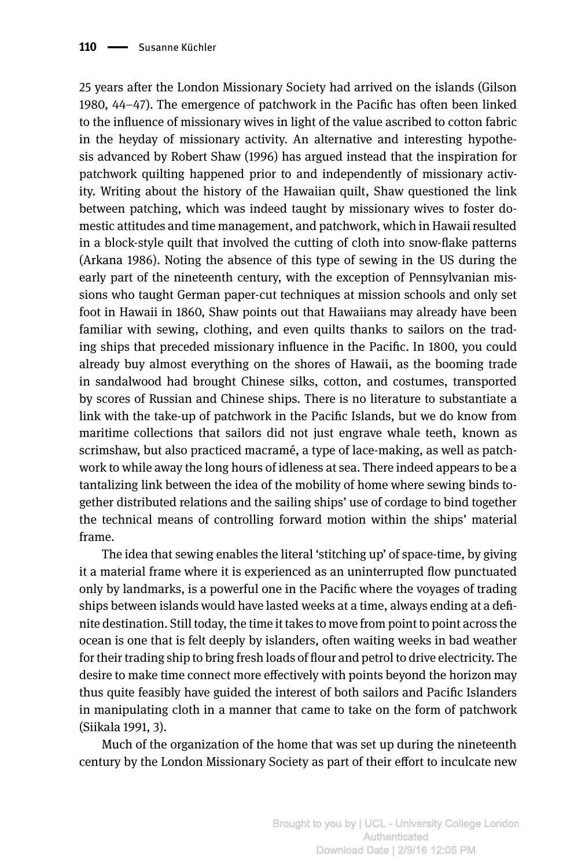25 years after the London Missionary Society had arrived on the islands (Gilson 1980, 44–47). The emergence of patchwork in the Pacific has often been linked to the influence of missionary wives in light of the value ascribed to cotton fabric in the heyday of missionary activity. An alternative and interesting hypothesis advanced by Robert Shaw (1996) has argued instead that the inspiration for patchwork quilting happened prior to and independently of missionary activity. Writing about the history of the Hawaiian quilt, Shaw questioned the link between patching, which was indeed taught by missionary wives to foster domestic attitudes and time management, and patchwork, which in Hawaii resulted in a block-style quilt that involved the cutting of cloth into snow-flake patterns (Arkana 1986). Noting the absence of this type of sewing in the US during the early part of the nineteenth century, with the exception of Pennsylvanian missions who taught German paper-cut techniques at mission schools and only set foot in Hawaii in 1860, Shaw points out that Hawaiians may already have been familiar with sewing, clothing, and even quilts thanks to sailors on the trading ships that preceded missionary influence in the Pacific. In 1800, you could already buy almost everything on the shores of Hawaii, as the booming trade in sandalwood had brought Chinese silks, cotton, and costumes, transported by scores of Russian and Chinese ships. There is no literature to substantiate a link with the take-up of patchwork in the Pacific Islands, but we do know from maritime collections that sailors did not just engrave whale teeth, known as scrimshaw, but also practiced macramé, a type of lace-making, as well as patchwork to while away the long hours of idleness at sea. There indeed appears to be a tantalizing link between the idea of the mobility of home where sewing binds together distributed relations and the sailing ships' use of cordage to bind together the technical means of controlling forward motion within the ships' material frame.

The idea that sewing enables the literal 'stitching up' of space-time, by giving it a material frame where it is experienced as an uninterrupted flow punctuated only by landmarks, is a powerful one in the Pacific where the voyages of trading ships between islands would have lasted weeks at a time, always ending at a definite destination. Still today, the time it takes to move from point to point across the ocean is one that is felt deeply by islanders, often waiting weeks in bad weather for their trading ship to bring fresh loads of flour and petrol to drive electricity. The desire to make time connect more effectively with points beyond the horizon may thus quite feasibly have guided the interest of both sailors and Pacific Islanders in manipulating cloth in a manner that came to take on the form of patchwork (Siikala 1991, 3).

Much of the organization of the home that was set up during the nineteenth century by the London Missionary Society as part of their effort to inculcate new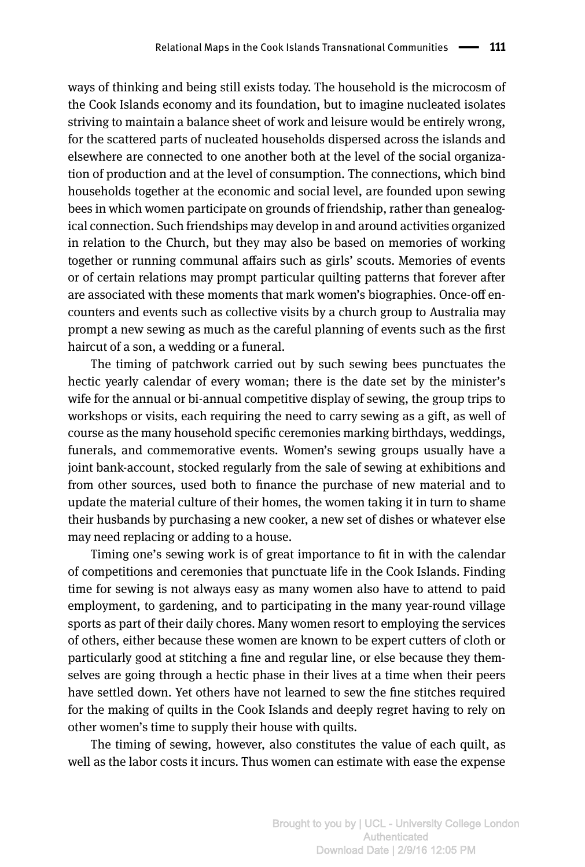ways of thinking and being still exists today. The household is the microcosm of the Cook Islands economy and its foundation, but to imagine nucleated isolates striving to maintain a balance sheet of work and leisure would be entirely wrong, for the scattered parts of nucleated households dispersed across the islands and elsewhere are connected to one another both at the level of the social organization of production and at the level of consumption. The connections, which bind households together at the economic and social level, are founded upon sewing bees in which women participate on grounds of friendship, rather than genealogical connection. Such friendships may develop in and around activities organized in relation to the Church, but they may also be based on memories of working together or running communal affairs such as girls' scouts. Memories of events or of certain relations may prompt particular quilting patterns that forever after are associated with these moments that mark women's biographies. Once-off encounters and events such as collective visits by a church group to Australia may prompt a new sewing as much as the careful planning of events such as the first haircut of a son, a wedding or a funeral.

The timing of patchwork carried out by such sewing bees punctuates the hectic yearly calendar of every woman; there is the date set by the minister's wife for the annual or bi-annual competitive display of sewing, the group trips to workshops or visits, each requiring the need to carry sewing as a gift, as well of course as the many household specific ceremonies marking birthdays, weddings, funerals, and commemorative events. Women's sewing groups usually have a joint bank-account, stocked regularly from the sale of sewing at exhibitions and from other sources, used both to finance the purchase of new material and to update the material culture of their homes, the women taking it in turn to shame their husbands by purchasing a new cooker, a new set of dishes or whatever else may need replacing or adding to a house.

Timing one's sewing work is of great importance to fit in with the calendar of competitions and ceremonies that punctuate life in the Cook Islands. Finding time for sewing is not always easy as many women also have to attend to paid employment, to gardening, and to participating in the many year-round village sports as part of their daily chores. Many women resort to employing the services of others, either because these women are known to be expert cutters of cloth or particularly good at stitching a fine and regular line, or else because they themselves are going through a hectic phase in their lives at a time when their peers have settled down. Yet others have not learned to sew the fine stitches required for the making of quilts in the Cook Islands and deeply regret having to rely on other women's time to supply their house with quilts.

The timing of sewing, however, also constitutes the value of each quilt, as well as the labor costs it incurs. Thus women can estimate with ease the expense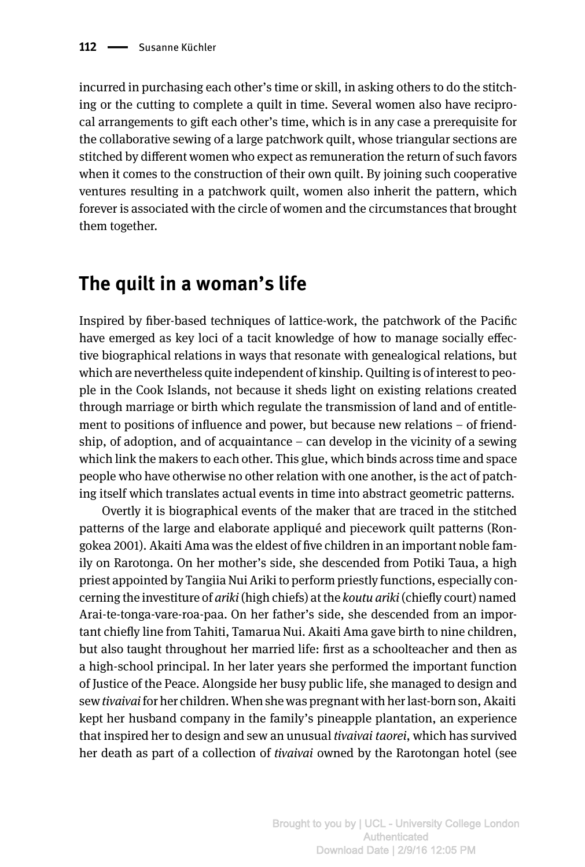incurred in purchasing each other's time or skill, in asking others to do the stitching or the cutting to complete a quilt in time. Several women also have reciprocal arrangements to gift each other's time, which is in any case a prerequisite for the collaborative sewing of a large patchwork quilt, whose triangular sections are stitched by different women who expect as remuneration the return of such favors when it comes to the construction of their own quilt. By joining such cooperative ventures resulting in a patchwork quilt, women also inherit the pattern, which forever is associated with the circle of women and the circumstances that brought them together.

#### **The quilt in a woman's life**

Inspired by fiber-based techniques of lattice-work, the patchwork of the Pacific have emerged as key loci of a tacit knowledge of how to manage socially effective biographical relations in ways that resonate with genealogical relations, but which are nevertheless quite independent of kinship. Quilting is of interest to people in the Cook Islands, not because it sheds light on existing relations created through marriage or birth which regulate the transmission of land and of entitlement to positions of influence and power, but because new relations – of friendship, of adoption, and of acquaintance  $-$  can develop in the vicinity of a sewing which link the makers to each other. This glue, which binds across time and space people who have otherwise no other relation with one another, is the act of patching itself which translates actual events in time into abstract geometric patterns.

Overtly it is biographical events of the maker that are traced in the stitched patterns of the large and elaborate appliqué and piecework quilt patterns (Rongokea 2001). Akaiti Ama was the eldest of five children in an important noble family on Rarotonga. On her mother's side, she descended from Potiki Taua, a high priest appointed by Tangiia Nui Ariki to perform priestly functions, especially concerning the investiture of *ariki*(high chiefs) at the *koutu ariki*(chiefly court) named Arai-te-tonga-vare-roa-paa. On her father's side, she descended from an important chiefly line from Tahiti, Tamarua Nui. Akaiti Ama gave birth to nine children, but also taught throughout her married life: first as a schoolteacher and then as a high-school principal. In her later years she performed the important function of Justice of the Peace. Alongside her busy public life, she managed to design and sew *tivaivai*for her children. When she was pregnant with her last-born son, Akaiti kept her husband company in the family's pineapple plantation, an experience that inspired her to design and sew an unusual *tivaivai taorei*, which has survived her death as part of a collection of *tivaivai* owned by the Rarotongan hotel (see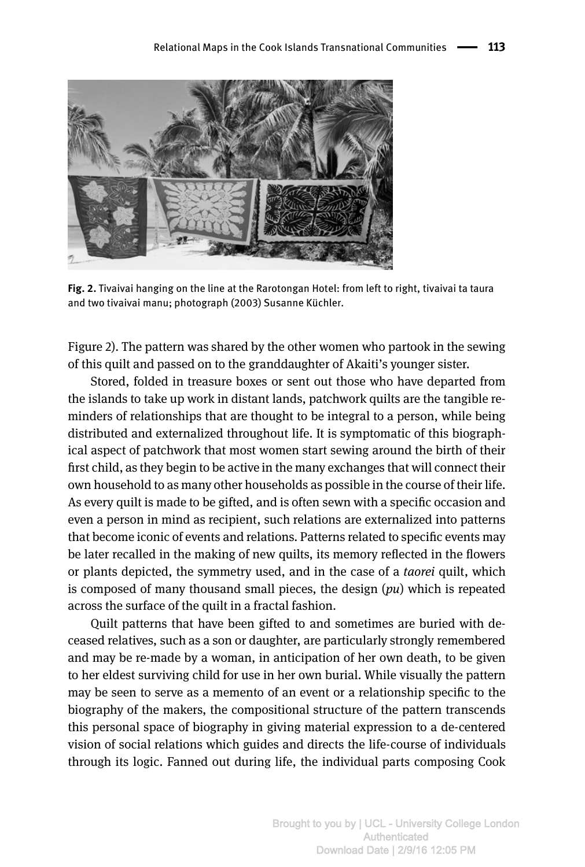

**Fig. 2.** Tivaivai hanging on the line at the Rarotongan Hotel: from left to right, tivaivai ta taura and two tivaivai manu; photograph (2003) Susanne Küchler.

Figure 2). The pattern was shared by the other women who partook in the sewing of this quilt and passed on to the granddaughter of Akaiti's younger sister.

Stored, folded in treasure boxes or sent out those who have departed from the islands to take up work in distant lands, patchwork quilts are the tangible reminders of relationships that are thought to be integral to a person, while being distributed and externalized throughout life. It is symptomatic of this biographical aspect of patchwork that most women start sewing around the birth of their first child, as they begin to be active in the many exchanges that will connect their own household to as many other households as possible in the course of their life. As every quilt is made to be gifted, and is often sewn with a specific occasion and even a person in mind as recipient, such relations are externalized into patterns that become iconic of events and relations. Patterns related to specific events may be later recalled in the making of new quilts, its memory reflected in the flowers or plants depicted, the symmetry used, and in the case of a *taorei* quilt, which is composed of many thousand small pieces, the design (*pu*) which is repeated across the surface of the quilt in a fractal fashion.

Quilt patterns that have been gifted to and sometimes are buried with deceased relatives, such as a son or daughter, are particularly strongly remembered and may be re-made by a woman, in anticipation of her own death, to be given to her eldest surviving child for use in her own burial. While visually the pattern may be seen to serve as a memento of an event or a relationship specific to the biography of the makers, the compositional structure of the pattern transcends this personal space of biography in giving material expression to a de-centered vision of social relations which guides and directs the life-course of individuals through its logic. Fanned out during life, the individual parts composing Cook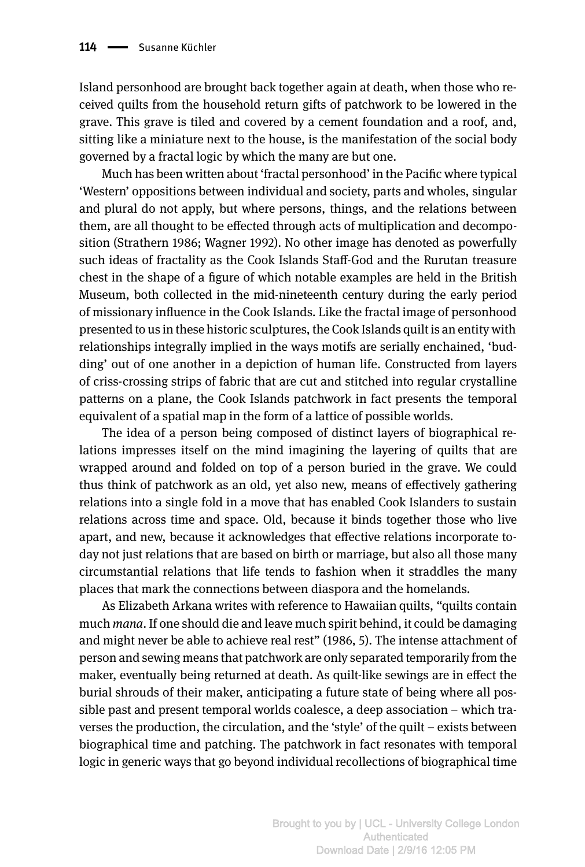Island personhood are brought back together again at death, when those who received quilts from the household return gifts of patchwork to be lowered in the grave. This grave is tiled and covered by a cement foundation and a roof, and, sitting like a miniature next to the house, is the manifestation of the social body governed by a fractal logic by which the many are but one.

Much has been written about 'fractal personhood' in the Pacific where typical 'Western' oppositions between individual and society, parts and wholes, singular and plural do not apply, but where persons, things, and the relations between them, are all thought to be effected through acts of multiplication and decomposition (Strathern 1986; Wagner 1992). No other image has denoted as powerfully such ideas of fractality as the Cook Islands Staff-God and the Rurutan treasure chest in the shape of a figure of which notable examples are held in the British Museum, both collected in the mid-nineteenth century during the early period of missionary influence in the Cook Islands. Like the fractal image of personhood presented to us in these historic sculptures, the Cook Islands quilt is an entity with relationships integrally implied in the ways motifs are serially enchained, 'budding' out of one another in a depiction of human life. Constructed from layers of criss-crossing strips of fabric that are cut and stitched into regular crystalline patterns on a plane, the Cook Islands patchwork in fact presents the temporal equivalent of a spatial map in the form of a lattice of possible worlds.

The idea of a person being composed of distinct layers of biographical relations impresses itself on the mind imagining the layering of quilts that are wrapped around and folded on top of a person buried in the grave. We could thus think of patchwork as an old, yet also new, means of effectively gathering relations into a single fold in a move that has enabled Cook Islanders to sustain relations across time and space. Old, because it binds together those who live apart, and new, because it acknowledges that effective relations incorporate today not just relations that are based on birth or marriage, but also all those many circumstantial relations that life tends to fashion when it straddles the many places that mark the connections between diaspora and the homelands.

As Elizabeth Arkana writes with reference to Hawaiian quilts, "quilts contain much *mana*. If one should die and leave much spirit behind, it could be damaging and might never be able to achieve real rest" (1986, 5). The intense attachment of person and sewing means that patchwork are only separated temporarily from the maker, eventually being returned at death. As quilt-like sewings are in effect the burial shrouds of their maker, anticipating a future state of being where all possible past and present temporal worlds coalesce, a deep association – which traverses the production, the circulation, and the 'style' of the quilt – exists between biographical time and patching. The patchwork in fact resonates with temporal logic in generic ways that go beyond individual recollections of biographical time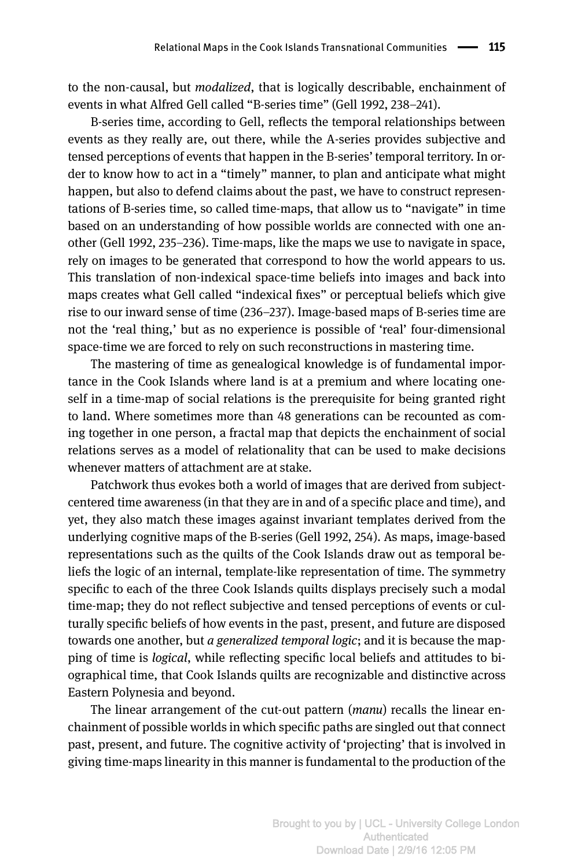to the non-causal, but *modalized*, that is logically describable, enchainment of events in what Alfred Gell called "B-series time" (Gell 1992, 238–241).

B-series time, according to Gell, reflects the temporal relationships between events as they really are, out there, while the A-series provides subjective and tensed perceptions of events that happen in the B-series' temporal territory. In order to know how to act in a "timely" manner, to plan and anticipate what might happen, but also to defend claims about the past, we have to construct representations of B-series time, so called time-maps, that allow us to "navigate" in time based on an understanding of how possible worlds are connected with one another (Gell 1992, 235–236). Time-maps, like the maps we use to navigate in space, rely on images to be generated that correspond to how the world appears to us. This translation of non-indexical space-time beliefs into images and back into maps creates what Gell called "indexical fixes" or perceptual beliefs which give rise to our inward sense of time (236–237). Image-based maps of B-series time are not the 'real thing,' but as no experience is possible of 'real' four-dimensional space-time we are forced to rely on such reconstructions in mastering time.

The mastering of time as genealogical knowledge is of fundamental importance in the Cook Islands where land is at a premium and where locating oneself in a time-map of social relations is the prerequisite for being granted right to land. Where sometimes more than 48 generations can be recounted as coming together in one person, a fractal map that depicts the enchainment of social relations serves as a model of relationality that can be used to make decisions whenever matters of attachment are at stake.

Patchwork thus evokes both a world of images that are derived from subjectcentered time awareness (in that they are in and of a specific place and time), and yet, they also match these images against invariant templates derived from the underlying cognitive maps of the B-series (Gell 1992, 254). As maps, image-based representations such as the quilts of the Cook Islands draw out as temporal beliefs the logic of an internal, template-like representation of time. The symmetry specific to each of the three Cook Islands quilts displays precisely such a modal time-map; they do not reflect subjective and tensed perceptions of events or culturally specific beliefs of how events in the past, present, and future are disposed towards one another, but *a generalized temporal logic*; and it is because the mapping of time is *logical*, while reflecting specific local beliefs and attitudes to biographical time, that Cook Islands quilts are recognizable and distinctive across Eastern Polynesia and beyond.

The linear arrangement of the cut-out pattern (*manu*) recalls the linear enchainment of possible worlds in which specific paths are singled out that connect past, present, and future. The cognitive activity of 'projecting' that is involved in giving time-maps linearity in this manner is fundamental to the production of the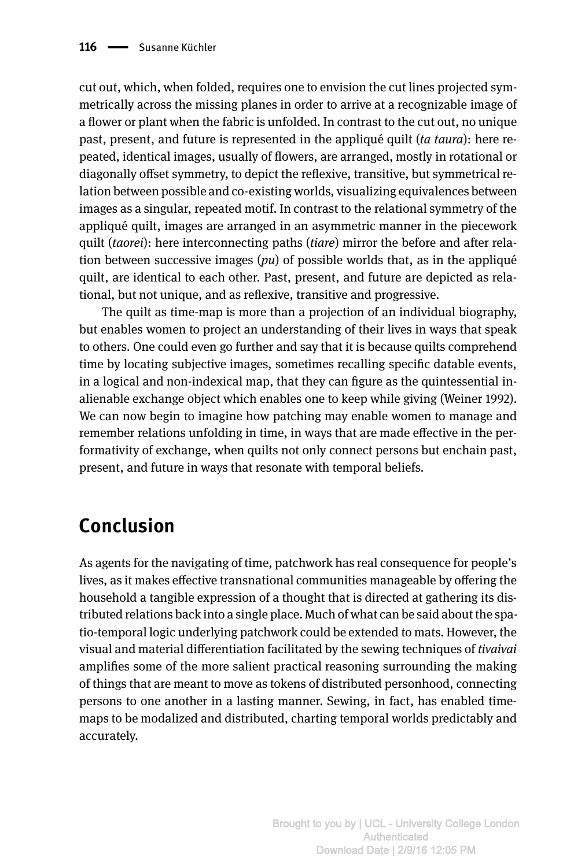cut out, which, when folded, requires one to envision the cut lines projected symmetrically across the missing planes in order to arrive at a recognizable image of a flower or plant when the fabric is unfolded. In contrast to the cut out, no unique past, present, and future is represented in the appliqué quilt (*ta taura*): here repeated, identical images, usually of flowers, are arranged, mostly in rotational or diagonally offset symmetry, to depict the reflexive, transitive, but symmetrical relation between possible and co-existing worlds, visualizing equivalences between images as a singular, repeated motif. In contrast to the relational symmetry of the appliqué quilt, images are arranged in an asymmetric manner in the piecework quilt (*taorei*): here interconnecting paths (*tiare*) mirror the before and after relation between successive images (*pu*) of possible worlds that, as in the appliqué quilt, are identical to each other. Past, present, and future are depicted as relational, but not unique, and as reflexive, transitive and progressive.

The quilt as time-map is more than a projection of an individual biography, but enables women to project an understanding of their lives in ways that speak to others. One could even go further and say that it is because quilts comprehend time by locating subjective images, sometimes recalling specific datable events, in a logical and non-indexical map, that they can figure as the quintessential inalienable exchange object which enables one to keep while giving (Weiner 1992). We can now begin to imagine how patching may enable women to manage and remember relations unfolding in time, in ways that are made effective in the performativity of exchange, when quilts not only connect persons but enchain past, present, and future in ways that resonate with temporal beliefs.

# **Conclusion**

As agents for the navigating of time, patchwork has real consequence for people's lives, as it makes effective transnational communities manageable by offering the household a tangible expression of a thought that is directed at gathering its distributed relations back into a single place. Much of what can be said about the spatio-temporal logic underlying patchwork could be extended to mats. However, the visual and material differentiation facilitated by the sewing techniques of *tivaivai* amplifies some of the more salient practical reasoning surrounding the making of things that are meant to move as tokens of distributed personhood, connecting persons to one another in a lasting manner. Sewing, in fact, has enabled timemaps to be modalized and distributed, charting temporal worlds predictably and accurately.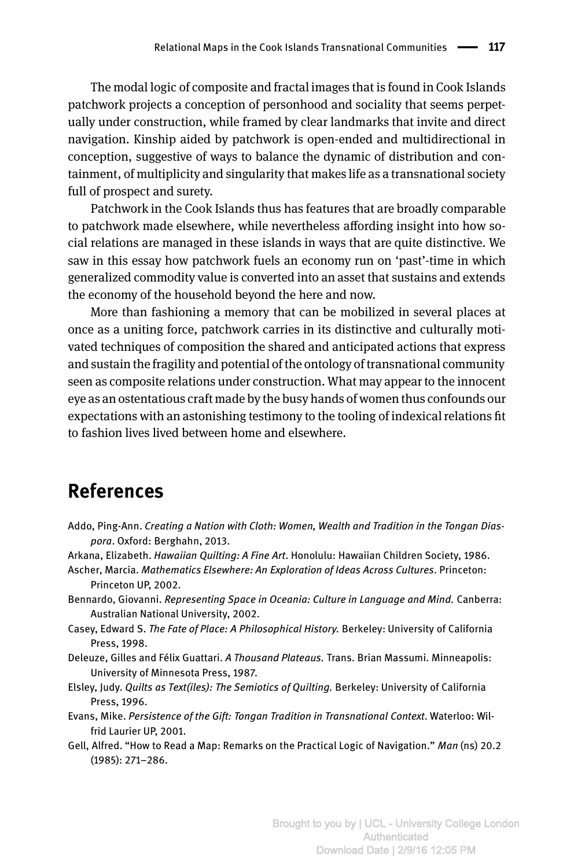The modal logic of composite and fractal images that is found in Cook Islands patchwork projects a conception of personhood and sociality that seems perpetually under construction, while framed by clear landmarks that invite and direct navigation. Kinship aided by patchwork is open-ended and multidirectional in conception, suggestive of ways to balance the dynamic of distribution and containment, of multiplicity and singularity that makes life as a transnational society full of prospect and surety.

Patchwork in the Cook Islands thus has features that are broadly comparable to patchwork made elsewhere, while nevertheless affording insight into how social relations are managed in these islands in ways that are quite distinctive. We saw in this essay how patchwork fuels an economy run on 'past'-time in which generalized commodity value is converted into an asset that sustains and extends the economy of the household beyond the here and now.

More than fashioning a memory that can be mobilized in several places at once as a uniting force, patchwork carries in its distinctive and culturally motivated techniques of composition the shared and anticipated actions that express and sustain the fragility and potential of the ontology of transnational community seen as composite relations under construction. What may appear to the innocent eye as an ostentatious craft made by the busy hands of women thus confounds our expectations with an astonishing testimony to the tooling of indexical relations fit to fashion lives lived between home and elsewhere.

#### **References**

- Addo, Ping-Ann. *Creating a Nation with Cloth: Women, Wealth and Tradition in the Tongan Diaspora*. Oxford: Berghahn, 2013.
- Arkana, Elizabeth. *Hawaiian Quilting: A Fine Art*. Honolulu: Hawaiian Children Society, 1986.
- Ascher, Marcia. *Mathematics Elsewhere: An Exploration of Ideas Across Cultures*. Princeton: Princeton UP, 2002.
- Bennardo, Giovanni. *Representing Space in Oceania: Culture in Language and Mind.* Canberra: Australian National University, 2002.
- Casey, Edward S. *The Fate of Place: A Philosophical History.* Berkeley: University of California Press, 1998.
- Deleuze, Gilles and Félix Guattari. *A Thousand Plateaus.* Trans. Brian Massumi. Minneapolis: University of Minnesota Press, 1987.
- Elsley, Judy. *Quilts as Text(iles): The Semiotics of Quilting.* Berkeley: University of California Press, 1996.
- Evans, Mike. *Persistence of the Gift: Tongan Tradition in Transnational Context*. Waterloo: Wilfrid Laurier UP, 2001.
- Gell, Alfred. "How to Read a Map: Remarks on the Practical Logic of Navigation." *Man* (ns) 20.2 (1985): 271–286.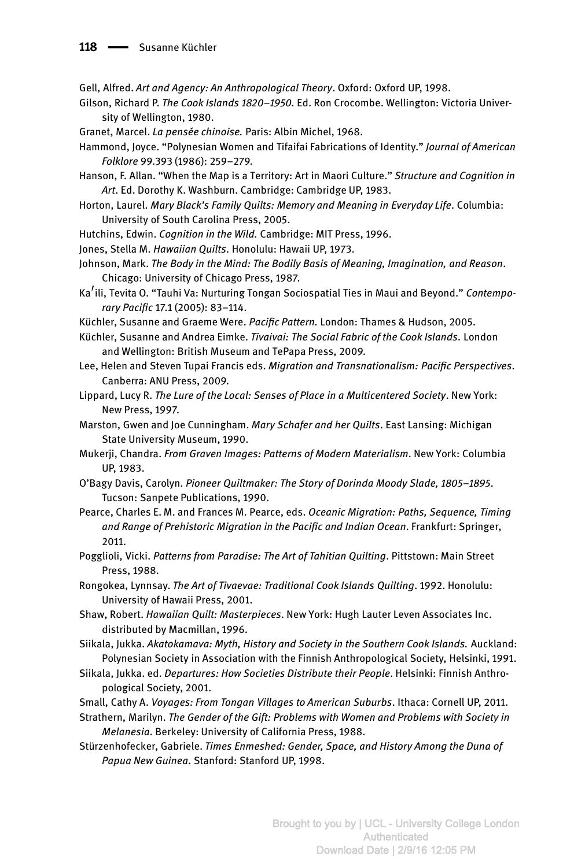Gell, Alfred. *Art and Agency: An Anthropological Theory*. Oxford: Oxford UP, 1998.

- Gilson, Richard P. *The Cook Islands 1820–1950.* Ed. Ron Crocombe. Wellington: Victoria University of Wellington, 1980.
- Granet, Marcel. *La pensée chinoise.* Paris: Albin Michel, 1968.
- Hammond, Joyce. "Polynesian Women and Tifaifai Fabrications of Identity." *Journal of American Folklore* 99.393 (1986): 259–279.

Hanson, F. Allan. "When the Map is a Territory: Art in Maori Culture." *Structure and Cognition in Art*. Ed. Dorothy K. Washburn. Cambridge: Cambridge UP, 1983.

- Horton, Laurel. *Mary Black's Family Quilts: Memory and Meaning in Everyday Life*. Columbia: University of South Carolina Press, 2005.
- Hutchins, Edwin. *Cognition in the Wild.* Cambridge: MIT Press, 1996.
- Jones, Stella M. *Hawaiian Quilts*. Honolulu: Hawaii UP, 1973.
- Johnson, Mark. *The Body in the Mind: The Bodily Basis of Meaning, Imagination, and Reason*. Chicago: University of Chicago Press, 1987.
- Ka ili, Tevita O. "Tauhi Va: Nurturing Tongan Sociospatial Ties in Maui and Beyond." *Contemporary Pacific* 17.1 (2005): 83–114.
- Küchler, Susanne and Graeme Were. *Pacific Pattern.* London: Thames & Hudson, 2005.
- Küchler, Susanne and Andrea Eimke. *Tivaivai: The Social Fabric of the Cook Islands*. London and Wellington: British Museum and TePapa Press, 2009.
- Lee, Helen and Steven Tupai Francis eds. *Migration and Transnationalism: Pacific Perspectives*. Canberra: ANU Press, 2009.
- Lippard, Lucy R. *The Lure of the Local: Senses of Place in a Multicentered Society*. New York: New Press, 1997.
- Marston, Gwen and Joe Cunningham. *Mary Schafer and her Quilts*. East Lansing: Michigan State University Museum, 1990.
- Mukerji, Chandra. *From Graven Images: Patterns of Modern Materialism*. New York: Columbia UP, 1983.
- O'Bagy Davis, Carolyn. *Pioneer Quiltmaker: The Story of Dorinda Moody Slade, 1805–1895*. Tucson: Sanpete Publications, 1990.
- Pearce, Charles E. M. and Frances M. Pearce, eds. *Oceanic Migration: Paths, Sequence, Timing and Range of Prehistoric Migration in the Pacific and Indian Ocean*. Frankfurt: Springer, 2011.
- Pogglioli, Vicki. *Patterns from Paradise: The Art of Tahitian Quilting*. Pittstown: Main Street Press, 1988.
- Rongokea, Lynnsay. *The Art of Tivaevae: Traditional Cook Islands Quilting*. 1992. Honolulu: University of Hawaii Press, 2001.
- Shaw, Robert. *Hawaiian Quilt: Masterpieces*. New York: Hugh Lauter Leven Associates Inc. distributed by Macmillan, 1996.
- Siikala, Jukka. *Akatokamava: Myth, History and Society in the Southern Cook Islands.* Auckland: Polynesian Society in Association with the Finnish Anthropological Society, Helsinki, 1991.
- Siikala, Jukka. ed. *Departures: How Societies Distribute their People*. Helsinki: Finnish Anthropological Society, 2001.
- Small, Cathy A. *Voyages: From Tongan Villages to American Suburbs*. Ithaca: Cornell UP, 2011.
- Strathern, Marilyn. *The Gender of the Gift: Problems with Women and Problems with Society in Melanesia*. Berkeley: University of California Press, 1988.
- Stürzenhofecker, Gabriele. *Times Enmeshed: Gender, Space, and History Among the Duna of Papua New Guinea*. Stanford: Stanford UP, 1998.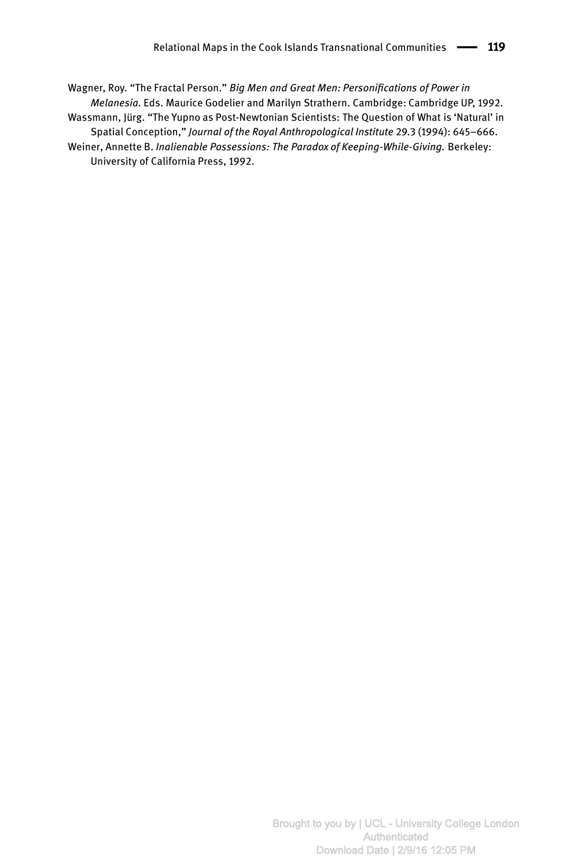Wagner, Roy. "The Fractal Person." *Big Men and Great Men: Personifications of Power in Melanesia.* Eds. Maurice Godelier and Marilyn Strathern. Cambridge: Cambridge UP, 1992. Wassmann, Jürg. "The Yupno as Post-Newtonian Scientists: The Question of What is 'Natural' in Spatial Conception," *Journal of the Royal Anthropological Institute* 29.3 (1994): 645–666. Weiner, Annette B. *Inalienable Possessions: The Paradox of Keeping-While-Giving.* Berkeley: University of California Press, 1992.